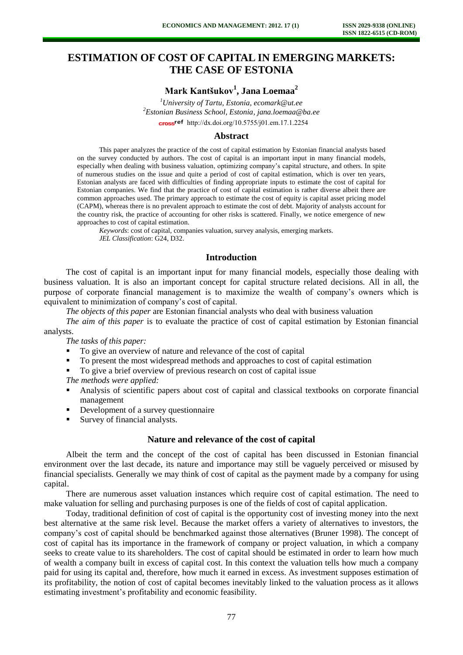# **ESTIMATION OF COST OF CAPITAL IN EMERGING MARKETS: THE CASE OF ESTONIA**

# **Mark Kantšukov<sup>1</sup> , Jana Loemaa<sup>2</sup>**

*<sup>1</sup>University of Tartu, Estonia, ecomark@ut.ee <sup>2</sup>Estonian Business School, Estonia, jana.loemaa@ba.ee*  cross<sup>ref</sup> [http://dx.doi.org/10.5755/j01.e](http://dx.doi.org/10.5755/j01.em.17.1.2254)m.17.1.2254

### **Abstract**

This paper analyzes the practice of the cost of capital estimation by Estonian financial analysts based on the survey conducted by authors. The cost of capital is an important input in many financial models, especially when dealing with business valuation, optimizing company's capital structure, and others. In spite of numerous studies on the issue and quite a period of cost of capital estimation, which is over ten years, Estonian analysts are faced with difficulties of finding appropriate inputs to estimate the cost of capital for Estonian companies. We find that the practice of cost of capital estimation is rather diverse albeit there are common approaches used. The primary approach to estimate the cost of equity is capital asset pricing model (CAPM), whereas there is no prevalent approach to estimate the cost of debt. Majority of analysts account for the country risk, the practice of accounting for other risks is scattered. Finally, we notice emergence of new approaches to cost of capital estimation.

*Keywords*: cost of capital, companies valuation, survey analysis, emerging markets. *JEL Classification*: G24, D32.

#### **Introduction**

The cost of capital is an important input for many financial models, especially those dealing with business valuation. It is also an important concept for capital structure related decisions. All in all, the purpose of corporate financial management is to maximize the wealth of company's owners which is equivalent to minimization of company's cost of capital.

*The objects of this paper* are Estonian financial analysts who deal with business valuation

*The aim of this paper* is to evaluate the practice of cost of capital estimation by Estonian financial analysts.

*The tasks of this paper:* 

- To give an overview of nature and relevance of the cost of capital
- To present the most widespread methods and approaches to cost of capital estimation
- To give a brief overview of previous research on cost of capital issue

*The methods were applied:*

- Analysis of scientific papers about cost of capital and classical textbooks on corporate financial management
- Development of a survey questionnaire
- Survey of financial analysts.

## **Nature and relevance of the cost of capital**

Albeit the term and the concept of the cost of capital has been discussed in Estonian financial environment over the last decade, its nature and importance may still be vaguely perceived or misused by financial specialists. Generally we may think of cost of capital as the payment made by a company for using capital.

There are numerous asset valuation instances which require cost of capital estimation. The need to make valuation for selling and purchasing purposes is one of the fields of cost of capital application.

Today, traditional definition of cost of capital is the opportunity cost of investing money into the next best alternative at the same risk level. Because the market offers a variety of alternatives to investors, the company's cost of capital should be benchmarked against those alternatives (Bruner 1998). The concept of cost of capital has its importance in the framework of company or project valuation, in which a company seeks to create value to its shareholders. The cost of capital should be estimated in order to learn how much of wealth a company built in excess of capital cost. In this context the valuation tells how much a company paid for using its capital and, therefore, how much it earned in excess. As investment supposes estimation of its profitability, the notion of cost of capital becomes inevitably linked to the valuation process as it allows estimating investment's profitability and economic feasibility.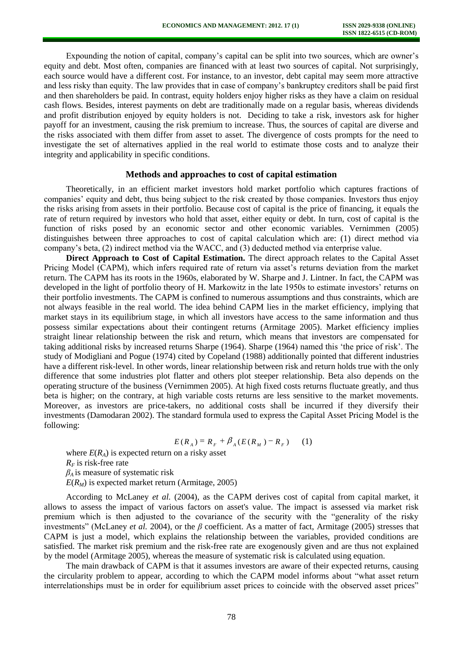Expounding the notion of capital, company's capital can be split into two sources, which are owner's equity and debt. Most often, companies are financed with at least two sources of capital. Not surprisingly, each source would have a different cost. For instance, to an investor, debt capital may seem more attractive and less risky than equity. The law provides that in case of company's bankruptcy creditors shall be paid first and then shareholders be paid. In contrast, equity holders enjoy higher risks as they have a claim on residual cash flows. Besides, interest payments on debt are traditionally made on a regular basis, whereas dividends and profit distribution enjoyed by equity holders is not. Deciding to take a risk, investors ask for higher payoff for an investment, causing the risk premium to increase. Thus, the sources of capital are diverse and the risks associated with them differ from asset to asset. The divergence of costs prompts for the need to investigate the set of alternatives applied in the real world to estimate those costs and to analyze their integrity and applicability in specific conditions.

## **Methods and approaches to cost of capital estimation**

Theoretically, in an efficient market investors hold market portfolio which captures fractions of companies' equity and debt, thus being subject to the risk created by those companies. Investors thus enjoy the risks arising from assets in their portfolio. Because cost of capital is the price of financing, it equals the rate of return required by investors who hold that asset, either equity or debt. In turn, cost of capital is the function of risks posed by an economic sector and other economic variables. Vernimmen (2005) distinguishes between three approaches to cost of capital calculation which are: (1) direct method via company's beta, (2) indirect method via the WACC, and (3) deducted method via enterprise value.

**Direct Approach to Cost of Capital Estimation.** The direct approach relates to the Capital Asset Pricing Model (CAPM), which infers required rate of return via asset's returns deviation from the market return. The CAPM has its roots in the 1960s, elaborated by W. Sharpe and J. Lintner. In fact, the CAPM was developed in the light of portfolio theory of H. Markowitz in the late 1950s to estimate investors' returns on their portfolio investments. The CAPM is confined to numerous assumptions and thus constraints, which are not always feasible in the real world. The idea behind CAPM lies in the market efficiency, implying that market stays in its equilibrium stage, in which all investors have access to the same information and thus possess similar expectations about their contingent returns (Armitage 2005). Market efficiency implies straight linear relationship between the risk and return, which means that investors are compensated for taking additional risks by increased returns Sharpe (1964). Sharpe (1964) named this 'the price of risk'. The study of Modigliani and Pogue (1974) cited by Copeland (1988) additionally pointed that different industries have a different risk-level. In other words, linear relationship between risk and return holds true with the only difference that some industries plot flatter and others plot steeper relationship. Beta also depends on the operating structure of the business (Vernimmen 2005). At high fixed costs returns fluctuate greatly, and thus beta is higher; on the contrary, at high variable costs returns are less sensitive to the market movements. Moreover, as investors are price-takers, no additional costs shall be incurred if they diversify their investments (Damodaran 2002). The standard formula used to express the Capital Asset Pricing Model is the following:

$$
E(R_A) = R_F + \beta_A (E(R_M) - R_F) \tag{1}
$$

where  $E(R_A)$  is expected return on a risky asset  $R<sub>F</sub>$  is risk-free rate *β<sup>A</sup>* is measure of systematic risk  $E(R_M)$  is expected market return (Armitage, 2005)

According to McLaney *et al.* (2004), as the CAPM derives cost of capital from capital market, it allows to assess the impact of various factors on asset's value. The impact is assessed via market risk premium which is then adjusted to the covariance of the security with the "generality of the risky investments" (McLaney *et al.* 2004), or the *β* coefficient. As a matter of fact, Armitage (2005) stresses that CAPM is just a model, which explains the relationship between the variables, provided conditions are satisfied. The market risk premium and the risk-free rate are exogenously given and are thus not explained by the model (Armitage 2005), whereas the measure of systematic risk is calculated using equation.

The main drawback of CAPM is that it assumes investors are aware of their expected returns, causing the circularity problem to appear, according to which the CAPM model informs about "what asset return interrelationships must be in order for equilibrium asset prices to coincide with the observed asset prices"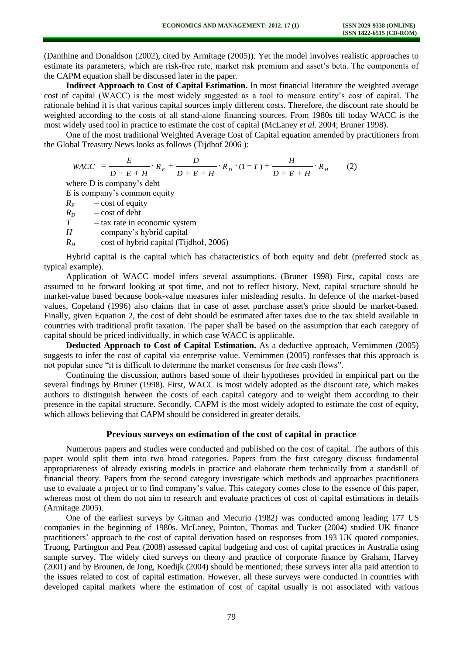(Danthine and Donaldson (2002), cited by Armitage (2005)). Yet the model involves realistic approaches to estimate its parameters, which are risk-free rate, market risk premium and asset's beta. The components of the CAPM equation shall be discussed later in the paper.

**Indirect Approach to Cost of Capital Estimation.** In most financial literature the weighted average cost of capital (WACC) is the most widely suggested as a tool to measure entity's cost of capital. The rationale behind it is that various capital sources imply different costs. Therefore, the discount rate should be weighted according to the costs of all stand-alone financing sources. From 1980s till today WACC is the most widely used tool in practice to estimate the cost of capital (McLaney *et al.* 2004; Bruner 1998).

One of the most traditional Weighted Average Cost of Capital equation amended by practitioners from the Global Treasury News looks as follows (Tijdhof 2006 ):

$$
WACC = \frac{E}{D + E + H} \cdot R_E + \frac{D}{D + E + H} \cdot R_D \cdot (1 - T) + \frac{H}{D + E + H} \cdot R_H
$$
 (2)

where D is company's debt

*E* is company's common equity

 $R_F$  – cost of equity

 $R_D$  – cost of debt

*T* – tax rate in economic system

*H* – company's hybrid capital

 $R_H$  – cost of hybrid capital (Tijdhof, 2006)

Hybrid capital is the capital which has characteristics of both equity and debt (preferred stock as typical example).

Application of WACC model infers several assumptions. (Bruner 1998) First, capital costs are assumed to be forward looking at spot time, and not to reflect history. Next, capital structure should be market-value based because book-value measures infer misleading results. In defence of the market-based values, Copeland (1996) also claims that in case of asset purchase asset's price should be market-based. Finally, given Equation 2, the cost of debt should be estimated after taxes due to the tax shield available in countries with traditional profit taxation. The paper shall be based on the assumption that each category of capital should be priced individually, in which case WACC is applicable.

**Deducted Approach to Cost of Capital Estimation.** As a deductive approach, Vernimmen (2005) suggests to infer the cost of capital via enterprise value. Vernimmen (2005) confesses that this approach is not popular since "it is difficult to determine the market consensus for free cash flows".

Continuing the discussion, authors based some of their hypotheses provided in empirical part on the several findings by Bruner (1998). First, WACC is most widely adopted as the discount rate, which makes authors to distinguish between the costs of each capital category and to weight them according to their presence in the capital structure. Secondly, CAPM is the most widely adopted to estimate the cost of equity, which allows believing that CAPM should be considered in greater details.

#### **Previous surveys on estimation of the cost of capital in practice**

Numerous papers and studies were conducted and published on the cost of capital. The authors of this paper would split them into two broad categories. Papers from the first category discuss fundamental appropriateness of already existing models in practice and elaborate them technically from a standstill of financial theory. Papers from the second category investigate which methods and approaches practitioners use to evaluate a project or to find company's value. This category comes close to the essence of this paper, whereas most of them do not aim to research and evaluate practices of cost of capital estimations in details (Armitage 2005).

One of the earliest surveys by Gitman and Mecurio (1982) was conducted among leading 177 US companies in the beginning of 1980s. McLaney, Pointon, Thomas and Tucker (2004) studied UK finance practitioners' approach to the cost of capital derivation based on responses from 193 UK quoted companies. Truong, Partington and Peat (2008) assessed capital budgeting and cost of capital practices in Australia using sample survey. The widely cited surveys on theory and practice of corporate finance by Graham, Harvey (2001) and by Brounen, de Jong, Koedijk (2004) should be mentioned; these surveys inter alia paid attention to the issues related to cost of capital estimation. However, all these surveys were conducted in countries with developed capital markets where the estimation of cost of capital usually is not associated with various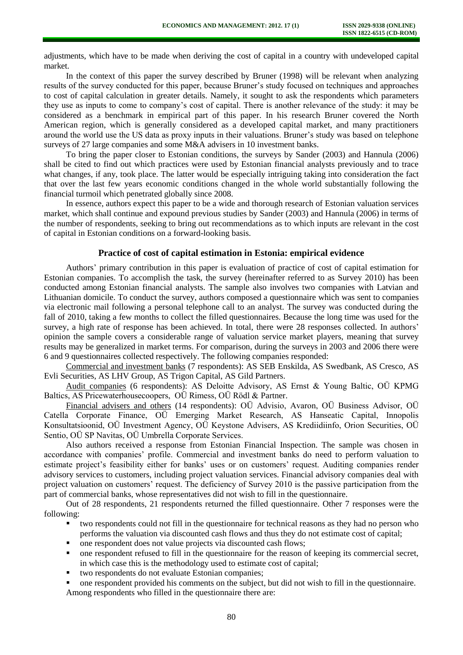adjustments, which have to be made when deriving the cost of capital in a country with undeveloped capital market.

In the context of this paper the survey described by Bruner (1998) will be relevant when analyzing results of the survey conducted for this paper, because Bruner's study focused on techniques and approaches to cost of capital calculation in greater details. Namely, it sought to ask the respondents which parameters they use as inputs to come to company's cost of capital. There is another relevance of the study: it may be considered as a benchmark in empirical part of this paper. In his research Bruner covered the North American region, which is generally considered as a developed capital market, and many practitioners around the world use the US data as proxy inputs in their valuations. Bruner's study was based on telephone surveys of 27 large companies and some M&A advisers in 10 investment banks.

To bring the paper closer to Estonian conditions, the surveys by Sander (2003) and Hannula (2006) shall be cited to find out which practices were used by Estonian financial analysts previously and to trace what changes, if any, took place. The latter would be especially intriguing taking into consideration the fact that over the last few years economic conditions changed in the whole world substantially following the financial turmoil which penetrated globally since 2008.

In essence, authors expect this paper to be a wide and thorough research of Estonian valuation services market, which shall continue and expound previous studies by Sander (2003) and Hannula (2006) in terms of the number of respondents, seeking to bring out recommendations as to which inputs are relevant in the cost of capital in Estonian conditions on a forward-looking basis.

### **Practice of cost of capital estimation in Estonia: empirical evidence**

Authors' primary contribution in this paper is evaluation of practice of cost of capital estimation for Estonian companies. To accomplish the task, the survey (hereinafter referred to as Survey 2010) has been conducted among Estonian financial analysts. The sample also involves two companies with Latvian and Lithuanian domicile. To conduct the survey, authors composed a questionnaire which was sent to companies via electronic mail following a personal telephone call to an analyst. The survey was conducted during the fall of 2010, taking a few months to collect the filled questionnaires. Because the long time was used for the survey, a high rate of response has been achieved. In total, there were 28 responses collected. In authors' opinion the sample covers a considerable range of valuation service market players, meaning that survey results may be generalized in market terms. For comparison, during the surveys in 2003 and 2006 there were 6 and 9 questionnaires collected respectively. The following companies responded:

Commercial and investment banks (7 respondents): AS SEB Enskilda, AS Swedbank, AS Cresco, AS Evli Securities, AS LHV Group, AS Trigon Capital, AS Gild Partners.

Audit companies (6 respondents): AS Deloitte Advisory, AS Ernst & Young Baltic, OÜ KPMG Baltics, AS Pricewaterhousecoopers, OÜ Rimess, OÜ Rödl & Partner.

Financial advisers and others (14 respondents): OÜ Advisio, Avaron, OÜ Business Advisor, OÜ Catella Corporate Finance, OÜ Emerging Market Research, AS Hanseatic Capital, Innopolis Konsultatsioonid, OÜ Investment Agency, OÜ Keystone Advisers, AS Krediidiinfo, Orion Securities, OÜ Sentio, OÜ SP Navitas, OÜ Umbrella Corporate Services.

Also authors received a response from Estonian Financial Inspection. The sample was chosen in accordance with companies' profile. Commercial and investment banks do need to perform valuation to estimate project's feasibility either for banks' uses or on customers' request. Auditing companies render advisory services to customers, including project valuation services. Financial advisory companies deal with project valuation on customers' request. The deficiency of Survey 2010 is the passive participation from the part of commercial banks, whose representatives did not wish to fill in the questionnaire.

Out of 28 respondents, 21 respondents returned the filled questionnaire. Other 7 responses were the following:

- two respondents could not fill in the questionnaire for technical reasons as they had no person who performs the valuation via discounted cash flows and thus they do not estimate cost of capital;
- one respondent does not value projects via discounted cash flows;
- one respondent refused to fill in the questionnaire for the reason of keeping its commercial secret, in which case this is the methodology used to estimate cost of capital;
- two respondents do not evaluate Estonian companies;
- one respondent provided his comments on the subject, but did not wish to fill in the questionnaire. Among respondents who filled in the questionnaire there are: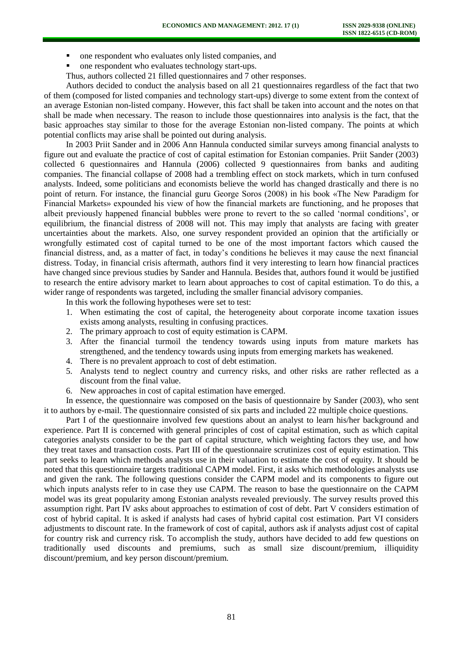- one respondent who evaluates only listed companies, and
- one respondent who evaluates technology start-ups.
- Thus, authors collected 21 filled questionnaires and 7 other responses.

Authors decided to conduct the analysis based on all 21 questionnaires regardless of the fact that two of them (composed for listed companies and technology start-ups) diverge to some extent from the context of an average Estonian non-listed company. However, this fact shall be taken into account and the notes on that shall be made when necessary. The reason to include those questionnaires into analysis is the fact, that the basic approaches stay similar to those for the average Estonian non-listed company. The points at which potential conflicts may arise shall be pointed out during analysis.

In 2003 Priit Sander and in 2006 Ann Hannula conducted similar surveys among financial analysts to figure out and evaluate the practice of cost of capital estimation for Estonian companies. Priit Sander (2003) collected 6 questionnaires and Hannula (2006) collected 9 questionnaires from banks and auditing companies. The financial collapse of 2008 had a trembling effect on stock markets, which in turn confused analysts. Indeed, some politicians and economists believe the world has changed drastically and there is no point of return. For instance, the financial guru George Soros (2008) in his book «The New Paradigm for Financial Markets» expounded his view of how the financial markets are functioning, and he proposes that albeit previously happened financial bubbles were prone to revert to the so called 'normal conditions', or equilibrium, the financial distress of 2008 will not. This may imply that analysts are facing with greater uncertainties about the markets. Also, one survey respondent provided an opinion that the artificially or wrongfully estimated cost of capital turned to be one of the most important factors which caused the financial distress, and, as a matter of fact, in today's conditions he believes it may cause the next financial distress. Today, in financial crisis aftermath, authors find it very interesting to learn how financial practices have changed since previous studies by Sander and Hannula. Besides that, authors found it would be justified to research the entire advisory market to learn about approaches to cost of capital estimation. To do this, a wider range of respondents was targeted, including the smaller financial advisory companies.

In this work the following hypotheses were set to test:

- 1. When estimating the cost of capital, the heterogeneity about corporate income taxation issues exists among analysts, resulting in confusing practices.
- 2. The primary approach to cost of equity estimation is CAPM.
- 3. After the financial turmoil the tendency towards using inputs from mature markets has strengthened, and the tendency towards using inputs from emerging markets has weakened.
- 4. There is no prevalent approach to cost of debt estimation.
- 5. Analysts tend to neglect country and currency risks, and other risks are rather reflected as a discount from the final value.
- 6. New approaches in cost of capital estimation have emerged.

In essence, the questionnaire was composed on the basis of questionnaire by Sander (2003), who sent it to authors by e-mail. The questionnaire consisted of six parts and included 22 multiple choice questions.

Part I of the questionnaire involved few questions about an analyst to learn his/her background and experience. Part II is concerned with general principles of cost of capital estimation, such as which capital categories analysts consider to be the part of capital structure, which weighting factors they use, and how they treat taxes and transaction costs. Part III of the questionnaire scrutinizes cost of equity estimation. This part seeks to learn which methods analysts use in their valuation to estimate the cost of equity. It should be noted that this questionnaire targets traditional CAPM model. First, it asks which methodologies analysts use and given the rank. The following questions consider the CAPM model and its components to figure out which inputs analysts refer to in case they use CAPM. The reason to base the questionnaire on the CAPM model was its great popularity among Estonian analysts revealed previously. The survey results proved this assumption right. Part IV asks about approaches to estimation of cost of debt. Part V considers estimation of cost of hybrid capital. It is asked if analysts had cases of hybrid capital cost estimation. Part VI considers adjustments to discount rate. In the framework of cost of capital, authors ask if analysts adjust cost of capital for country risk and currency risk. To accomplish the study, authors have decided to add few questions on traditionally used discounts and premiums, such as small size discount/premium, illiquidity discount/premium, and key person discount/premium.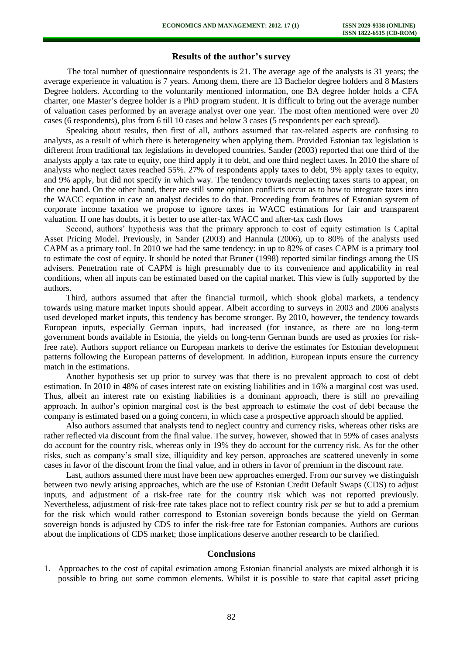## **Results of the author's survey**

The total number of questionnaire respondents is 21. The average age of the analysts is 31 years; the average experience in valuation is 7 years. Among them, there are 13 Bachelor degree holders and 8 Masters Degree holders. According to the voluntarily mentioned information, one BA degree holder holds a CFA charter, one Master's degree holder is a PhD program student. It is difficult to bring out the average number of valuation cases performed by an average analyst over one year. The most often mentioned were over 20 cases (6 respondents), plus from 6 till 10 cases and below 3 cases (5 respondents per each spread).

Speaking about results, then first of all, authors assumed that tax-related aspects are confusing to analysts, as a result of which there is heterogeneity when applying them. Provided Estonian tax legislation is different from traditional tax legislations in developed countries, Sander (2003) reported that one third of the analysts apply a tax rate to equity, one third apply it to debt, and one third neglect taxes. In 2010 the share of analysts who neglect taxes reached 55%. 27% of respondents apply taxes to debt, 9% apply taxes to equity, and 9% apply, but did not specify in which way. The tendency towards neglecting taxes starts to appear, on the one hand. On the other hand, there are still some opinion conflicts occur as to how to integrate taxes into the WACC equation in case an analyst decides to do that. Proceeding from features of Estonian system of corporate income taxation we propose to ignore taxes in WACC estimations for fair and transparent valuation. If one has doubts, it is better to use after-tax WACC and after-tax cash flows

Second, authors' hypothesis was that the primary approach to cost of equity estimation is Capital Asset Pricing Model. Previously, in Sander (2003) and Hannula (2006), up to 80% of the analysts used CAPM as a primary tool. In 2010 we had the same tendency: in up to 82% of cases CAPM is a primary tool to estimate the cost of equity. It should be noted that Bruner (1998) reported similar findings among the US advisers. Penetration rate of CAPM is high presumably due to its convenience and applicability in real conditions, when all inputs can be estimated based on the capital market. This view is fully supported by the authors.

Third, authors assumed that after the financial turmoil, which shook global markets, a tendency towards using mature market inputs should appear. Albeit according to surveys in 2003 and 2006 analysts used developed market inputs, this tendency has become stronger. By 2010, however, the tendency towards European inputs, especially German inputs, had increased (for instance, as there are no long-term government bonds available in Estonia, the yields on long-term German bunds are used as proxies for riskfree rate). Authors support reliance on European markets to derive the estimates for Estonian development patterns following the European patterns of development. In addition, European inputs ensure the currency match in the estimations.

Another hypothesis set up prior to survey was that there is no prevalent approach to cost of debt estimation. In 2010 in 48% of cases interest rate on existing liabilities and in 16% a marginal cost was used. Thus, albeit an interest rate on existing liabilities is a dominant approach, there is still no prevailing approach. In author's opinion marginal cost is the best approach to estimate the cost of debt because the company is estimated based on a going concern, in which case a prospective approach should be applied.

Also authors assumed that analysts tend to neglect country and currency risks, whereas other risks are rather reflected via discount from the final value. The survey, however, showed that in 59% of cases analysts do account for the country risk, whereas only in 19% they do account for the currency risk. As for the other risks, such as company's small size, illiquidity and key person, approaches are scattered unevenly in some cases in favor of the discount from the final value, and in others in favor of premium in the discount rate.

Last, authors assumed there must have been new approaches emerged. From our survey we distinguish between two newly arising approaches, which are the use of Estonian Credit Default Swaps (CDS) to adjust inputs, and adjustment of a risk-free rate for the country risk which was not reported previously. Nevertheless, adjustment of risk-free rate takes place not to reflect country risk *per se* but to add a premium for the risk which would rather correspond to Estonian sovereign bonds because the yield on German sovereign bonds is adjusted by CDS to infer the risk-free rate for Estonian companies. Authors are curious about the implications of CDS market; those implications deserve another research to be clarified.

#### **Conclusions**

1. Approaches to the cost of capital estimation among Estonian financial analysts are mixed although it is possible to bring out some common elements. Whilst it is possible to state that capital asset pricing